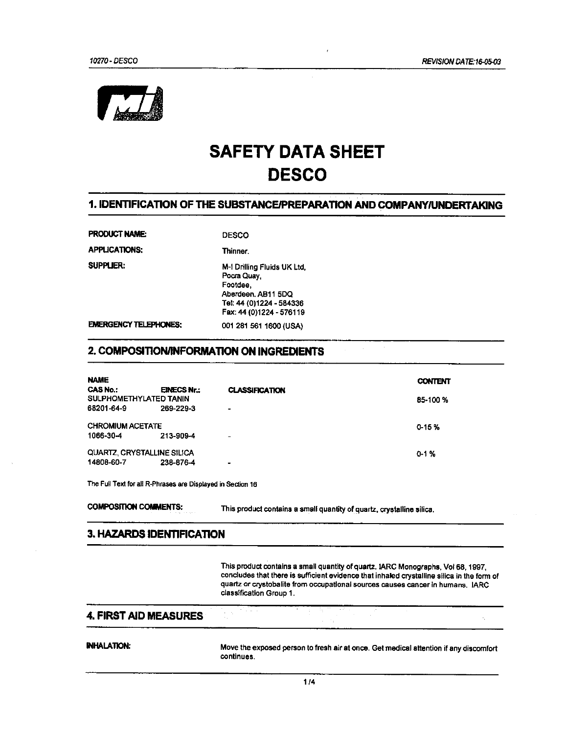

# **SAFETY DATA SHEET DESCO**

### 1. IDENTIFICATION OF THE SUBSTANCE/PREPARATION AND COMPANY/UNDERTAKING

PRODUCT NAME:

**APPLICATIONS:** 

**DESCO** 

**SUPPLIER:** 

Thinner. M-I Drilling Fluids UK Ltd, Pocra Quay, Footdee. Aberdeen, AB11 5DQ Tel: 44 (0)1224 - 584336

Fax: 44 (0)1224 - 576119

001 281 561 1600 (USA)

**EMERGENCY TELEPHONES:** 

#### 2. COMPOSITION/INFORMATION ON INGREDIENTS

| <b>NAME</b>                |                    |                          | <b>CONTENT</b> |
|----------------------------|--------------------|--------------------------|----------------|
| <b>CAS No.:</b>            | <b>EINECS Nr.:</b> | <b>CLASSIFICATION</b>    |                |
| SULPHOMETHYLATED TANIN     |                    |                          | 85-100 %       |
| 68201-64-9                 | 269-229-3          | $\overline{\phantom{0}}$ |                |
| <b>CHROMIUM ACETATE</b>    |                    |                          | $0 - 15%$      |
| 1066-30-4                  | 213-909-4          | -                        |                |
| QUARTZ, CRYSTALLINE SILICA |                    |                          | $0 - 1 %$      |
| 14808-60-7                 | 238-876-4          | $\bullet$                |                |

The Full Text for all R-Phrases are Displayed in Section 16

**COMPOSITION COMMENTS:** 

This product contains a small quantity of quartz, crystalline silica.

#### 3. HAZARDS IDENTIFICATION

This product contains a small quantity of quartz. IARC Monographs, Voi 68, 1997, concludes that there is sufficient evidence that inhaled crystalline silica in the form of quartz or crystobalite from occupational sources causes cancer in humans. IARC classification Group 1.

#### **4. FIRST AID MEASURES**

#### **INHALATION:**

Move the exposed person to fresh air at once. Get medical attention if any discomfort continues.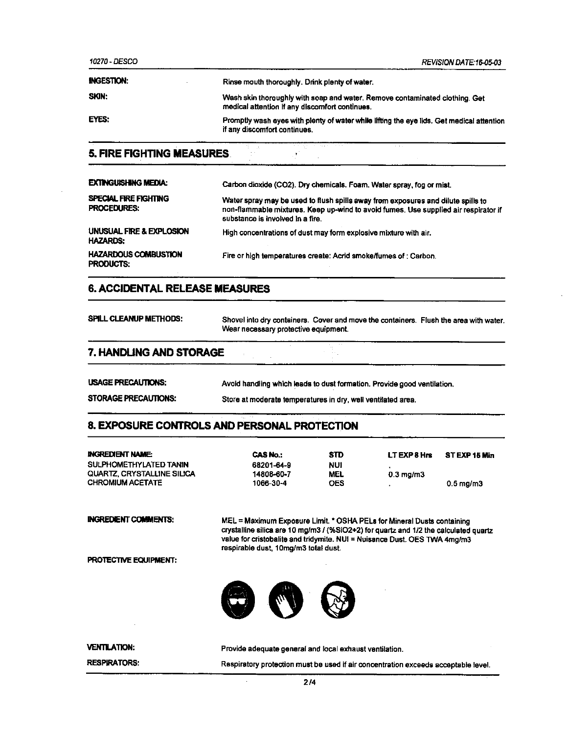10270 - DESCO

REVISION DATE: 16-05-03

| <b>INGESTION:</b> | Rinse mouth thoroughly. Drink plenty of water.                                                                                |
|-------------------|-------------------------------------------------------------------------------------------------------------------------------|
| SKIN:             | Wash skin thoroughly with soap and water. Remove contaminated clothing. Get<br>medical attention if any discomfort continues. |
| EYES:             | Promptly wash eyes with plenty of water while lifting the eye lids. Get medical attention<br>if any discomfort continues.     |

 $\mathcal{N}$ 

## **5. FIRE FIGHTING MEASURES**

| <b>EXTINGUISHING MEDIA:</b>                     | Carbon dioxide (CO2). Dry chemicals. Foam. Water spray, fog or mist.                                                                                                                                        |
|-------------------------------------------------|-------------------------------------------------------------------------------------------------------------------------------------------------------------------------------------------------------------|
| SPECIAL FIRE FIGHTING<br><b>PROCEDURES:</b>     | Water spray may be used to flush spills away from exposures and dilute spills to<br>non-flammable mixtures. Keep up-wind to avoid fumes. Use supplied air respirator if<br>substance is involved in a fire. |
| UNUSUAL FIRE & EXPLOSION<br><b>HAZARDS:</b>     | High concentrations of dust may form explosive mixture with air.                                                                                                                                            |
| <b>HAZARDOUS COMBUSTION</b><br><b>PRODUCTS:</b> | Fire or high temperatures create: Acrid smoke/fumes of: Carbon.                                                                                                                                             |

#### **6. ACCIDENTAL RELEASE MEASURES**

| <b>SPILL CLEANUP METHODS:</b> | Wear necessary protective equipment. | Shovel into dry containers. Cover and move the containers. Flush the area with water. |  |
|-------------------------------|--------------------------------------|---------------------------------------------------------------------------------------|--|
| 7. HANDLING AND STORAGE       |                                      |                                                                                       |  |

| <b>USAGE PRECAUTIONS:</b> | Avoid handling which leads to dust formation. Provide good ventilation. |
|---------------------------|-------------------------------------------------------------------------|
|                           |                                                                         |

#### STORAGE PRECAUTIONS: Store at moderate temperatures in dry, well ventilated area.

#### 8. EXPOSURE CONTROLS AND PERSONAL PROTECTION

| <b>INGREDIENT NAME:</b>           | <b>CASNo:</b>                                                          | <b>STD</b> | LT EXP 8 Hrs      | STEXP 15 Min   |
|-----------------------------------|------------------------------------------------------------------------|------------|-------------------|----------------|
| SULPHOMETHYLATED TANIN            | 68201-64-9                                                             | NUI        |                   |                |
| <b>QUARTZ, CRYSTALLINE SILICA</b> | 14808-60-7                                                             | <b>MEL</b> | $0.3 \,$ mg/m $3$ |                |
| <b>CHROMIUM ACETATE</b>           | 1066-30-4                                                              | <b>OES</b> |                   | $0.5$ mg/m $3$ |
| <b>INGREDIENT COMMENTS:</b>       | MEL = Maximum Exposure Limit. * OSHA PELs for Mineral Dusts containing |            |                   |                |

crystalline silica are 10 mg/m3 / (%SiO2+2) for quartz and 1/2 the calculated quartz value for cristobalite and tridymite. NUI = Nuisance Dust. OES TWA 4mg/m3 respirable dust, 10mg/m3 total dust.

PROTECTIVE EQUIPMENT:



| <b>VENTILATION:</b> | Provide adequate general and local exhaust ventilation.                            |
|---------------------|------------------------------------------------------------------------------------|
| <b>RESPIRATORS:</b> | Respiratory protection must be used if air concentration exceeds acceptable level. |

 $\ddot{\phantom{a}}$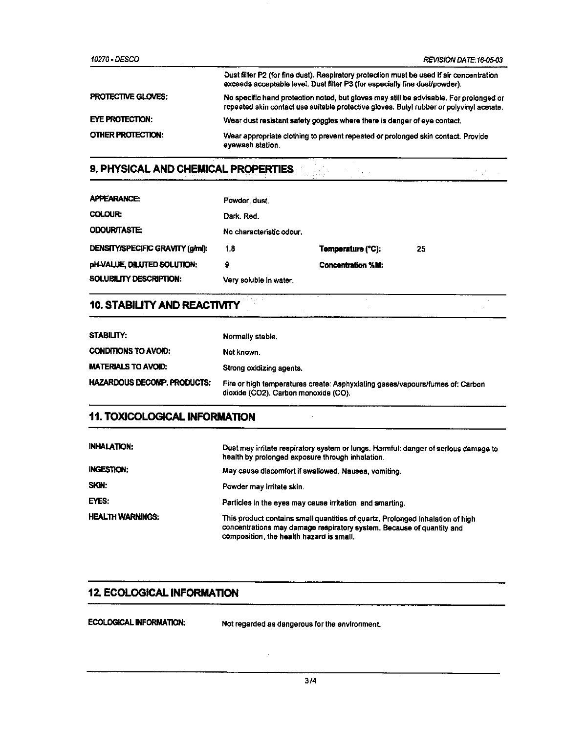| 10270 - DESCO             | REVISION DATE:16-05-03                                                                                                                                                             |
|---------------------------|------------------------------------------------------------------------------------------------------------------------------------------------------------------------------------|
|                           | Dust filter P2 (for fine dust). Respiratory protection must be used if air concentration<br>exceeds acceptable level. Dust filter P3 (for especially fine dust/powder).            |
| <b>PROTECTIVE GLOVES:</b> | No specific hand protection noted, but gloves may still be advisable. For prolonged or<br>repeated skin contact use suitable protective gloves. Butyl rubber or polyvinyl acetate. |
| EYE PROTECTION:           | Wear dust resistant safety goggles where there is danger of eye contact.                                                                                                           |
| <b>OTHER PROTECTION:</b>  | Wear appropriate clothing to prevent repeated or prolonged skin contact. Provide<br>eyewash station.                                                                               |

大学の

# 9. PHYSICAL AND CHEMICAL PROPERTIES

| <b>APPEARANCE:</b>                      | Powder, dust.            |                          |    |
|-----------------------------------------|--------------------------|--------------------------|----|
| <b>COLOUR:</b>                          | Dark, Red.               |                          |    |
| <b>ODOUR/TASTE:</b>                     | No characteristic odour. |                          |    |
| <b>DENSITY/SPECIFIC GRAVITY (g/ml):</b> | 1.8                      | Temperature (°C):        | 25 |
| pH-VALUE, DILUTED SOLUTION:             | 9                        | <b>Concentration %M:</b> |    |
| SOLUBILITY DESCRIPTION:                 | Very soluble in water.   |                          |    |

# 10. STABILITY AND REACTIVITY

| <b>STABILITY:</b>                  | Normally stable.                                                                                                      |
|------------------------------------|-----------------------------------------------------------------------------------------------------------------------|
| <b>CONDITIONS TO AVOID:</b>        | Not known.                                                                                                            |
| MATERIALS TO AVOID:                | Strong oxidizing agents.                                                                                              |
| <b>HAZARDOUS DECOMP, PRODUCTS:</b> | Fire or high temperatures create: Asphyxiating gases/vapours/fumes of: Carbon<br>dioxide (CO2). Carbon monoxide (CO). |

 $\Delta \phi$ 

# **11. TOXICOLOGICAL INFORMATION**

| <b>INHALATION:</b>      | Dust may irritate respiratory system or lungs. Harmful: danger of serious damage to<br>health by prolonged exposure through inhalation.                                                             |
|-------------------------|-----------------------------------------------------------------------------------------------------------------------------------------------------------------------------------------------------|
| <b>INGESTION:</b>       | May cause discomfort if swallowed. Nausea, vomiting.                                                                                                                                                |
| SKIN:                   | Powder may irritate skin.                                                                                                                                                                           |
| EYES:                   | Particles in the eyes may cause irritation and smarting.                                                                                                                                            |
| <b>HEALTH WARNINGS:</b> | This product contains small quantities of quartz. Prolonged inhalation of high<br>concentrations may damage respiratory system. Because of quantity and<br>composition, the health hazard is small. |

## **12. ECOLOGICAL INFORMATION**

**ECOLOGICAL INFORMATION:** 

Not regarded as dangerous for the environment.